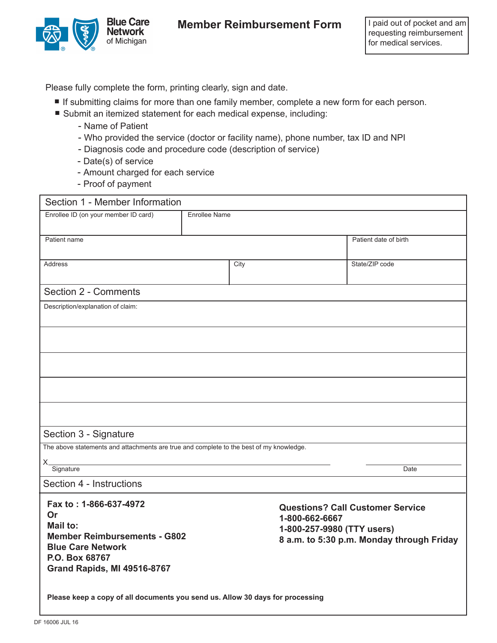

## **Member Reimbursement Form | I paid out of pocket and am**

Please fully complete the form, printing clearly, sign and date.

- Lease fully complete the form, printing clearly, sign and date.<br>■ If submitting claims for more than one family member, complete a new form for each person. Lease fully complete the form, printing clearly, sign and date.<br>■ If submitting claims for more than one family member, complete a n<br>■ Submit an itemized statement for each medical expense, including:
	- - Name of Patient
		- Who provided the service (doctor or facility name), phone number, tax ID and NPI
		- Diagnosis code and procedure code (description of service)
		- Date(s) of service
		- Amount charged for each service
		- Proof of payment

| Section 1 - Member Information                                                          |                      |                                                                         |                                         |                |
|-----------------------------------------------------------------------------------------|----------------------|-------------------------------------------------------------------------|-----------------------------------------|----------------|
| Enrollee ID (on your member ID card)                                                    | <b>Enrollee Name</b> |                                                                         |                                         |                |
|                                                                                         |                      |                                                                         |                                         |                |
| Patient name                                                                            |                      |                                                                         | Patient date of birth                   |                |
|                                                                                         |                      |                                                                         |                                         |                |
| <b>Address</b>                                                                          | City                 |                                                                         | State/ZIP code                          |                |
|                                                                                         |                      |                                                                         |                                         |                |
| Section 2 - Comments                                                                    |                      |                                                                         |                                         |                |
| Description/explanation of claim:                                                       |                      |                                                                         |                                         |                |
|                                                                                         |                      |                                                                         |                                         |                |
|                                                                                         |                      |                                                                         |                                         |                |
|                                                                                         |                      |                                                                         |                                         |                |
|                                                                                         |                      |                                                                         |                                         |                |
|                                                                                         |                      |                                                                         |                                         |                |
|                                                                                         |                      |                                                                         |                                         |                |
|                                                                                         |                      |                                                                         |                                         |                |
|                                                                                         |                      |                                                                         |                                         |                |
|                                                                                         |                      |                                                                         |                                         |                |
| Section 3 - Signature                                                                   |                      |                                                                         |                                         |                |
| The above statements and attachments are true and complete to the best of my knowledge. |                      |                                                                         |                                         |                |
| Х.<br>Signature                                                                         |                      |                                                                         | Date                                    |                |
| Section 4 - Instructions                                                                |                      |                                                                         |                                         |                |
|                                                                                         |                      |                                                                         |                                         |                |
| Fax to: 1-866-637-4972                                                                  |                      |                                                                         | <b>Questions? Call Customer Service</b> |                |
| Or<br>Mail to:                                                                          |                      |                                                                         | 1-800-662-6667                          |                |
| <b>Member Reimbursements - G802</b><br><b>Blue Care Network</b>                         |                      | 1-800-257-9980 (TTY users)<br>8 a.m. to 5:30 p.m. Monday through Friday |                                         |                |
|                                                                                         |                      |                                                                         |                                         | P.O. Box 68767 |
| <b>Grand Rapids, MI 49516-8767</b>                                                      |                      |                                                                         |                                         |                |
|                                                                                         |                      |                                                                         |                                         |                |
| Please keep a copy of all documents you send us. Allow 30 days for processing           |                      |                                                                         |                                         |                |